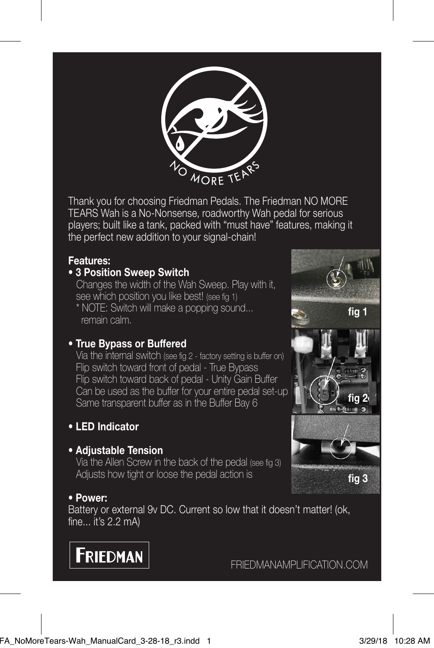

Thank you for choosing Friedman Pedals. The Friedman NO MORE TEARS Wah is a No-Nonsense, roadworthy Wah pedal for serious players; built like a tank, packed with "must have" features, making it the perfect new addition to your signal-chain!

# **Features:**

# • **3 Position Sweep Switch**

Changes the width of the Wah Sweep. Play with it, see which position you like best! (see fig 1)

 \* NOTE: Switch will make a popping sound... remain calm.

## • **True Bypass or Buffered**

 Via the internal switch (see fig 2 - factory setting is buffer on) Flip switch toward front of pedal - True Bypass Flip switch toward back of pedal - Unity Gain Buffer Can be used as the buffer for your entire pedal set-up Same transparent buffer as in the Buffer Bay 6

## • **LED Indicator**

### • **Adjustable Tension**

Via the Allen Screw in the back of the pedal (see fig 3) Adjusts how tight or loose the pedal action is

## • **Power:**

Battery or external 9v DC. Current so low that it doesn't matter! (ok, fine... it's 2.2 mA)



FRIEDMANAMPLIFICATION.COM